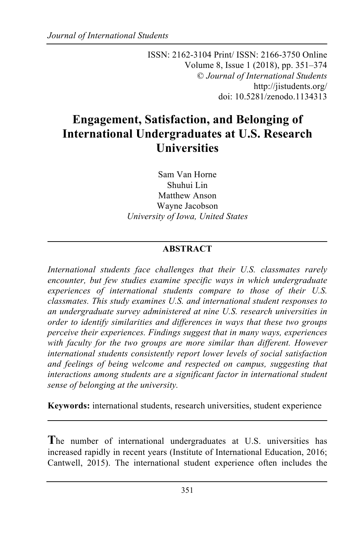ISSN: 2162-3104 Print/ ISSN: 2166-3750 Online Volume 8, Issue 1 (2018), pp. 351–374 © *Journal of International Students* http://jistudents.org/ doi: 10.5281/zenodo.1134313

# **Engagement, Satisfaction, and Belonging of International Undergraduates at U.S. Research Universities**

Sam Van Horne Shuhui Lin Matthew Anson Wayne Jacobson *University of Iowa, United States*

# **ABSTRACT**

*International students face challenges that their U.S. classmates rarely encounter, but few studies examine specific ways in which undergraduate experiences of international students compare to those of their U.S. classmates. This study examines U.S. and international student responses to an undergraduate survey administered at nine U.S. research universities in order to identify similarities and differences in ways that these two groups perceive their experiences. Findings suggest that in many ways, experiences*  with faculty for the two groups are more similar than different. However *international students consistently report lower levels of social satisfaction and feelings of being welcome and respected on campus, suggesting that interactions among students are a significant factor in international student sense of belonging at the university.* 

**Keywords:** international students, research universities, student experience

**T**he number of international undergraduates at U.S. universities has increased rapidly in recent years (Institute of International Education, 2016; Cantwell, 2015). The international student experience often includes the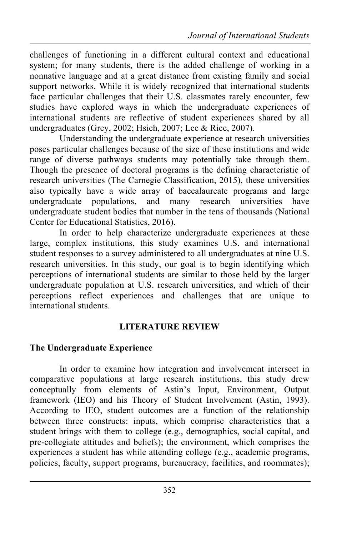challenges of functioning in a different cultural context and educational system; for many students, there is the added challenge of working in a nonnative language and at a great distance from existing family and social support networks. While it is widely recognized that international students face particular challenges that their U.S. classmates rarely encounter, few studies have explored ways in which the undergraduate experiences of international students are reflective of student experiences shared by all undergraduates (Grey, 2002; Hsieh, 2007; Lee & Rice, 2007).

Understanding the undergraduate experience at research universities poses particular challenges because of the size of these institutions and wide range of diverse pathways students may potentially take through them. Though the presence of doctoral programs is the defining characteristic of research universities (The Carnegie Classification, 2015), these universities also typically have a wide array of baccalaureate programs and large undergraduate populations, and many research universities have undergraduate student bodies that number in the tens of thousands (National Center for Educational Statistics, 2016).

In order to help characterize undergraduate experiences at these large, complex institutions, this study examines U.S. and international student responses to a survey administered to all undergraduates at nine U.S. research universities. In this study, our goal is to begin identifying which perceptions of international students are similar to those held by the larger undergraduate population at U.S. research universities, and which of their perceptions reflect experiences and challenges that are unique to international students.

# **LITERATURE REVIEW**

# **The Undergraduate Experience**

In order to examine how integration and involvement intersect in comparative populations at large research institutions, this study drew conceptually from elements of Astin's Input, Environment, Output framework (IEO) and his Theory of Student Involvement (Astin, 1993). According to IEO, student outcomes are a function of the relationship between three constructs: inputs, which comprise characteristics that a student brings with them to college (e.g., demographics, social capital, and pre-collegiate attitudes and beliefs); the environment, which comprises the experiences a student has while attending college (e.g., academic programs, policies, faculty, support programs, bureaucracy, facilities, and roommates);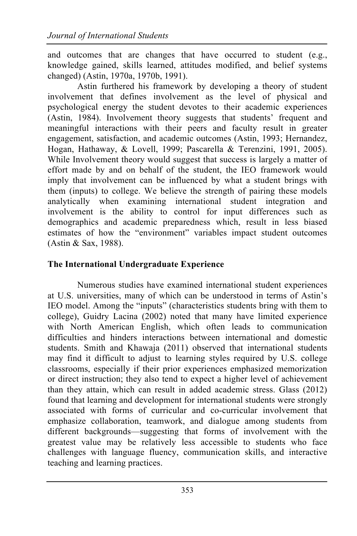and outcomes that are changes that have occurred to student (e.g., knowledge gained, skills learned, attitudes modified, and belief systems changed) (Astin, 1970a, 1970b, 1991).

Astin furthered his framework by developing a theory of student involvement that defines involvement as the level of physical and psychological energy the student devotes to their academic experiences (Astin, 1984). Involvement theory suggests that students' frequent and meaningful interactions with their peers and faculty result in greater engagement, satisfaction, and academic outcomes (Astin, 1993; Hernandez, Hogan, Hathaway, & Lovell, 1999; Pascarella & Terenzini, 1991, 2005). While Involvement theory would suggest that success is largely a matter of effort made by and on behalf of the student, the IEO framework would imply that involvement can be influenced by what a student brings with them (inputs) to college. We believe the strength of pairing these models analytically when examining international student integration and involvement is the ability to control for input differences such as demographics and academic preparedness which, result in less biased estimates of how the "environment" variables impact student outcomes (Astin & Sax, 1988).

# **The International Undergraduate Experience**

Numerous studies have examined international student experiences at U.S. universities, many of which can be understood in terms of Astin's IEO model. Among the "inputs" (characteristics students bring with them to college), Guidry Lacina (2002) noted that many have limited experience with North American English, which often leads to communication difficulties and hinders interactions between international and domestic students. Smith and Khawaja (2011) observed that international students may find it difficult to adjust to learning styles required by U.S. college classrooms, especially if their prior experiences emphasized memorization or direct instruction; they also tend to expect a higher level of achievement than they attain, which can result in added academic stress. Glass (2012) found that learning and development for international students were strongly associated with forms of curricular and co-curricular involvement that emphasize collaboration, teamwork, and dialogue among students from different backgrounds—suggesting that forms of involvement with the greatest value may be relatively less accessible to students who face challenges with language fluency, communication skills, and interactive teaching and learning practices.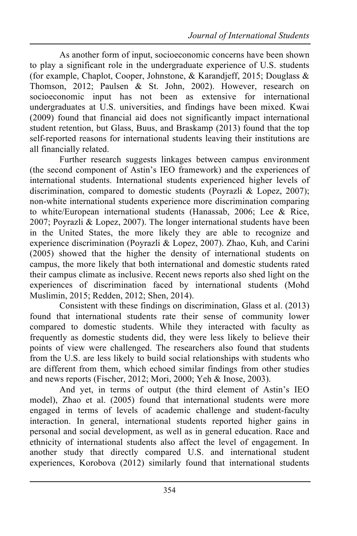As another form of input, socioeconomic concerns have been shown to play a significant role in the undergraduate experience of U.S. students (for example, Chaplot, Cooper, Johnstone, & Karandjeff, 2015; Douglass & Thomson, 2012; Paulsen & St. John, 2002). However, research on socioeconomic input has not been as extensive for international undergraduates at U.S. universities, and findings have been mixed. Kwai (2009) found that financial aid does not significantly impact international student retention, but Glass, Buus, and Braskamp (2013) found that the top self-reported reasons for international students leaving their institutions are all financially related.

Further research suggests linkages between campus environment (the second component of Astin's IEO framework) and the experiences of international students. International students experienced higher levels of discrimination, compared to domestic students (Poyrazli & Lopez, 2007); non-white international students experience more discrimination comparing to white/European international students (Hanassab, 2006; Lee & Rice, 2007; Poyrazli & Lopez, 2007). The longer international students have been in the United States, the more likely they are able to recognize and experience discrimination (Poyrazli & Lopez, 2007). Zhao, Kuh, and Carini (2005) showed that the higher the density of international students on campus, the more likely that both international and domestic students rated their campus climate as inclusive. Recent news reports also shed light on the experiences of discrimination faced by international students (Mohd Muslimin, 2015; Redden, 2012; Shen, 2014).

Consistent with these findings on discrimination, Glass et al. (2013) found that international students rate their sense of community lower compared to domestic students. While they interacted with faculty as frequently as domestic students did, they were less likely to believe their points of view were challenged. The researchers also found that students from the U.S. are less likely to build social relationships with students who are different from them, which echoed similar findings from other studies and news reports (Fischer, 2012; Mori, 2000; Yeh & Inose, 2003).

And yet, in terms of output (the third element of Astin's IEO model), Zhao et al. (2005) found that international students were more engaged in terms of levels of academic challenge and student-faculty interaction. In general, international students reported higher gains in personal and social development, as well as in general education. Race and ethnicity of international students also affect the level of engagement. In another study that directly compared U.S. and international student experiences, Korobova (2012) similarly found that international students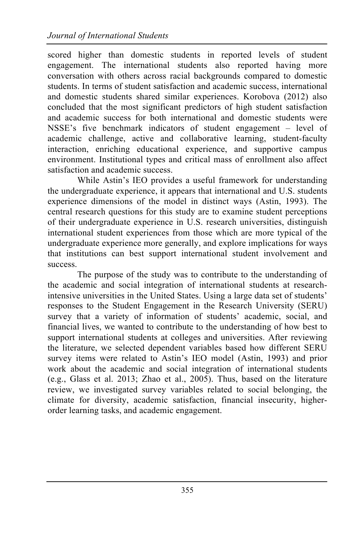scored higher than domestic students in reported levels of student engagement. The international students also reported having more conversation with others across racial backgrounds compared to domestic students. In terms of student satisfaction and academic success, international and domestic students shared similar experiences. Korobova (2012) also concluded that the most significant predictors of high student satisfaction and academic success for both international and domestic students were NSSE's five benchmark indicators of student engagement – level of academic challenge, active and collaborative learning, student-faculty interaction, enriching educational experience, and supportive campus environment. Institutional types and critical mass of enrollment also affect satisfaction and academic success.

While Astin's IEO provides a useful framework for understanding the undergraduate experience, it appears that international and U.S. students experience dimensions of the model in distinct ways (Astin, 1993). The central research questions for this study are to examine student perceptions of their undergraduate experience in U.S. research universities, distinguish international student experiences from those which are more typical of the undergraduate experience more generally, and explore implications for ways that institutions can best support international student involvement and success.

The purpose of the study was to contribute to the understanding of the academic and social integration of international students at researchintensive universities in the United States. Using a large data set of students' responses to the Student Engagement in the Research University (SERU) survey that a variety of information of students' academic, social, and financial lives, we wanted to contribute to the understanding of how best to support international students at colleges and universities. After reviewing the literature, we selected dependent variables based how different SERU survey items were related to Astin's IEO model (Astin, 1993) and prior work about the academic and social integration of international students (e.g., Glass et al. 2013; Zhao et al., 2005). Thus, based on the literature review, we investigated survey variables related to social belonging, the climate for diversity, academic satisfaction, financial insecurity, higherorder learning tasks, and academic engagement.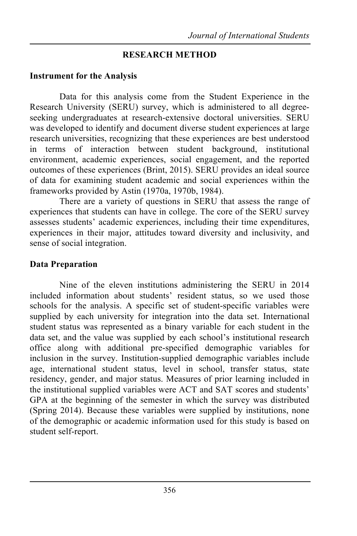### **RESEARCH METHOD**

#### **Instrument for the Analysis**

Data for this analysis come from the Student Experience in the Research University (SERU) survey, which is administered to all degreeseeking undergraduates at research-extensive doctoral universities. SERU was developed to identify and document diverse student experiences at large research universities, recognizing that these experiences are best understood in terms of interaction between student background, institutional environment, academic experiences, social engagement, and the reported outcomes of these experiences (Brint, 2015). SERU provides an ideal source of data for examining student academic and social experiences within the frameworks provided by Astin (1970a, 1970b, 1984).

There are a variety of questions in SERU that assess the range of experiences that students can have in college. The core of the SERU survey assesses students' academic experiences, including their time expenditures, experiences in their major, attitudes toward diversity and inclusivity, and sense of social integration.

# **Data Preparation**

Nine of the eleven institutions administering the SERU in 2014 included information about students' resident status, so we used those schools for the analysis. A specific set of student-specific variables were supplied by each university for integration into the data set. International student status was represented as a binary variable for each student in the data set, and the value was supplied by each school's institutional research office along with additional pre-specified demographic variables for inclusion in the survey. Institution-supplied demographic variables include age, international student status, level in school, transfer status, state residency, gender, and major status. Measures of prior learning included in the institutional supplied variables were ACT and SAT scores and students' GPA at the beginning of the semester in which the survey was distributed (Spring 2014). Because these variables were supplied by institutions, none of the demographic or academic information used for this study is based on student self-report.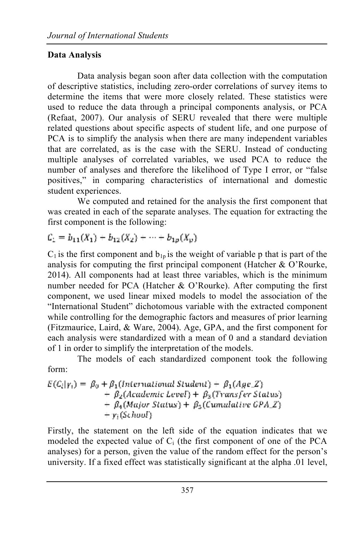# **Data Analysis**

Data analysis began soon after data collection with the computation of descriptive statistics, including zero-order correlations of survey items to determine the items that were more closely related. These statistics were used to reduce the data through a principal components analysis, or PCA (Refaat, 2007). Our analysis of SERU revealed that there were multiple related questions about specific aspects of student life, and one purpose of PCA is to simplify the analysis when there are many independent variables that are correlated, as is the case with the SERU. Instead of conducting multiple analyses of correlated variables, we used PCA to reduce the number of analyses and therefore the likelihood of Type I error, or "false positives," in comparing characteristics of international and domestic student experiences.

We computed and retained for the analysis the first component that was created in each of the separate analyses. The equation for extracting the first component is the following:

 $C_1 = b_{11}(X_1) + b_{12}(X_2) + \cdots + b_{1p}(X_p)$ 

 $C_1$  is the first component and  $b_{1p}$  is the weight of variable p that is part of the analysis for computing the first principal component (Hatcher & O'Rourke, 2014). All components had at least three variables, which is the minimum number needed for PCA (Hatcher & O'Rourke). After computing the first component, we used linear mixed models to model the association of the "International Student" dichotomous variable with the extracted component while controlling for the demographic factors and measures of prior learning (Fitzmaurice, Laird, & Ware, 2004). Age, GPA, and the first component for each analysis were standardized with a mean of 0 and a standard deviation of 1 in order to simplify the interpretation of the models.

The models of each standardized component took the following form:

$$
E(C_i|Y_i) = \beta_0 + \beta_1(International Student) + \beta_1(AgeZ)
$$
  
+  $\beta_2(Academic Level) + \beta_3(Transfer Status)$   
+  $\beta_4(Major Status) + \beta_5(Cumulative GPA_Z)$   
+  $y_i(School)$ 

Firstly, the statement on the left side of the equation indicates that we modeled the expected value of  $C_i$  (the first component of one of the PCA analyses) for a person, given the value of the random effect for the person's university. If a fixed effect was statistically significant at the alpha .01 level,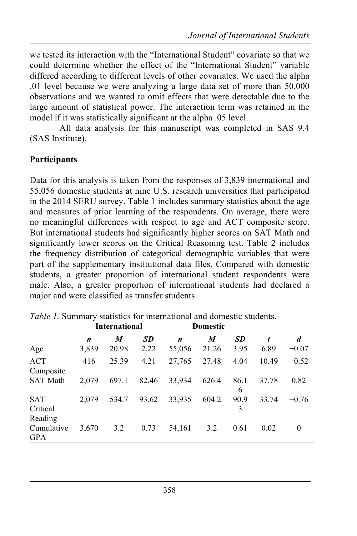we tested its interaction with the "International Student" covariate so that we could determine whether the effect of the "International Student" variable differed according to different levels of other covariates. We used the alpha .01 level because we were analyzing a large data set of more than 50,000 observations and we wanted to omit effects that were detectable due to the large amount of statistical power. The interaction term was retained in the model if it was statistically significant at the alpha .05 level.

All data analysis for this manuscript was completed in SAS 9.4 (SAS Institute).

### **Participants**

Data for this analysis is taken from the responses of 3,839 international and 55,056 domestic students at nine U.S. research universities that participated in the 2014 SERU survey. Table 1 includes summary statistics about the age and measures of prior learning of the respondents. On average, there were no meaningful differences with respect to age and ACT composite score. But international students had significantly higher scores on SAT Math and significantly lower scores on the Critical Reasoning test. Table 2 includes the frequency distribution of categorical demographic variables that were part of the supplementary institutional data files. Compared with domestic students, a greater proportion of international student respondents were male. Also, a greater proportion of international students had declared a major and were classified as transfer students.

|                                   | <b>International</b> |       |           | <b>Domestic</b>  |       |           |       |         |
|-----------------------------------|----------------------|-------|-----------|------------------|-------|-----------|-------|---------|
|                                   | n                    | M     | <b>SD</b> | $\boldsymbol{n}$ | M     | <b>SD</b> | t     | d       |
| Age                               | 3,839                | 20.98 | 2.22      | 55,056           | 21.26 | 3.95      | 6.89  | $-0.07$ |
| <b>ACT</b><br>Composite           | 416                  | 25.39 | 4.21      | 27,765           | 27.48 | 4.04      | 10.49 | $-0.52$ |
| <b>SAT Math</b>                   | 2.079                | 697.1 | 82.46     | 33,934           | 626.4 | 86.1<br>6 | 37.78 | 0.82    |
| <b>SAT</b><br>Critical<br>Reading | 2.079                | 534.7 | 93.62     | 33,935           | 604.2 | 90.9<br>3 | 33.74 | $-0.76$ |
| Cumulative<br><b>GPA</b>          | 3,670                | 3.2   | 0.73      | 54,161           | 3.2   | 0.61      | 0.02  | 0       |

*Table 1.* Summary statistics for international and domestic students.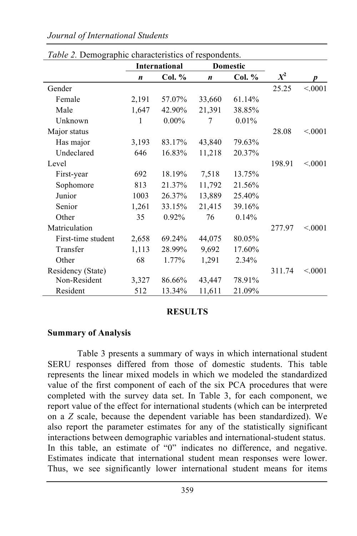#### *Journal of International Students*

|                    | <i>rable 2. Demographic characteristics of respondents.</i><br><b>International</b> |          | Domestic         |        |        |         |
|--------------------|-------------------------------------------------------------------------------------|----------|------------------|--------|--------|---------|
|                    | $\boldsymbol{n}$                                                                    | Col. %   | $\boldsymbol{n}$ | Col. % | $X^2$  |         |
| Gender             |                                                                                     |          |                  |        | 25.25  | < 0001  |
| Female             | 2,191                                                                               | 57.07%   | 33,660           | 61.14% |        |         |
| Male               | 1,647                                                                               | 42.90%   | 21,391           | 38.85% |        |         |
| Unknown            | 1                                                                                   | $0.00\%$ | 7                | 0.01%  |        |         |
| Major status       |                                                                                     |          |                  |        | 28.08  | < 0001  |
| Has major          | 3,193                                                                               | 83.17%   | 43,840           | 79.63% |        |         |
| Undeclared         | 646                                                                                 | 16.83%   | 11,218           | 20.37% |        |         |
| Level              |                                                                                     |          |                  |        | 198.91 | < 0001  |
| First-year         | 692                                                                                 | 18.19%   | 7,518            | 13.75% |        |         |
| Sophomore          | 813                                                                                 | 21.37%   | 11,792           | 21.56% |        |         |
| Junior             | 1003                                                                                | 26.37%   | 13,889           | 25.40% |        |         |
| Senior             | 1,261                                                                               | 33.15%   | 21,415           | 39.16% |        |         |
| Other              | 35                                                                                  | $0.92\%$ | 76               | 0.14%  |        |         |
| Matriculation      |                                                                                     |          |                  |        | 277.97 | < 0.001 |
| First-time student | 2,658                                                                               | 69.24%   | 44,075           | 80.05% |        |         |
| Transfer           | 1,113                                                                               | 28.99%   | 9,692            | 17.60% |        |         |
| Other              | 68                                                                                  | 1.77%    | 1,291            | 2.34%  |        |         |
| Residency (State)  |                                                                                     |          |                  |        | 311.74 | < 0001  |
| Non-Resident       | 3,327                                                                               | 86.66%   | 43,447           | 78.91% |        |         |
| Resident           | 512                                                                                 | 13.34%   | 11,611           | 21.09% |        |         |

*Table 2.* Demographic characteristics of respondents.

#### **RESULTS**

#### **Summary of Analysis**

Table 3 presents a summary of ways in which international student SERU responses differed from those of domestic students. This table represents the linear mixed models in which we modeled the standardized value of the first component of each of the six PCA procedures that were completed with the survey data set. In Table 3, for each component, we report value of the effect for international students (which can be interpreted on a *Z* scale, because the dependent variable has been standardized). We also report the parameter estimates for any of the statistically significant interactions between demographic variables and international-student status. In this table, an estimate of "0" indicates no difference, and negative. Estimates indicate that international student mean responses were lower. Thus, we see significantly lower international student means for items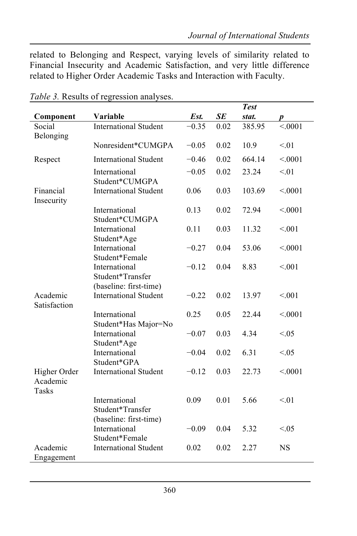related to Belonging and Respect, varying levels of similarity related to Financial Insecurity and Academic Satisfaction, and very little difference related to Higher Order Academic Tasks and Interaction with Faculty.

|                                          |                                                             |         |      | <b>Test</b> |         |
|------------------------------------------|-------------------------------------------------------------|---------|------|-------------|---------|
| Component                                | Variable                                                    | Est.    | SE   | stat.       | p       |
| Social<br>Belonging                      | <b>International Student</b>                                | $-0.35$ | 0.02 | 385.95      | < 0.001 |
|                                          | Nonresident*CUMGPA                                          | $-0.05$ | 0.02 | 10.9        | < 01    |
| Respect                                  | <b>International Student</b>                                | $-0.46$ | 0.02 | 664.14      | < 0001  |
|                                          | International<br>Student*CUMGPA                             | $-0.05$ | 0.02 | 23.24       | < 01    |
| Financial<br>Insecurity                  | <b>International Student</b>                                | 0.06    | 0.03 | 103.69      | < 0001  |
|                                          | International<br>Student*CUMGPA                             | 0.13    | 0.02 | 72.94       | < 0001  |
|                                          | International<br>Student*Age                                | 0.11    | 0.03 | 11.32       | < 0.01  |
|                                          | International<br>Student*Female                             | $-0.27$ | 0.04 | 53.06       | < 0001  |
|                                          | International<br>Student*Transfer<br>(baseline: first-time) | $-0.12$ | 0.04 | 8.83        | < 0.01  |
| Academic<br>Satisfaction                 | <b>International Student</b>                                | $-0.22$ | 0.02 | 13.97       | < 0.01  |
|                                          | International<br>Student*Has Major=No                       | 0.25    | 0.05 | 22.44       | < 0001  |
|                                          | International<br>Student*Age                                | $-0.07$ | 0.03 | 4.34        | < 0.05  |
|                                          | International<br>Student*GPA                                | $-0.04$ | 0.02 | 6.31        | < 0.05  |
| Higher Order<br>Academic<br><b>Tasks</b> | <b>International Student</b>                                | $-0.12$ | 0.03 | 22.73       | < 0.001 |
|                                          | International<br>Student*Transfer<br>(baseline: first-time) | 0.09    | 0.01 | 5.66        | < 01    |
|                                          | International<br>Student*Female                             | $-0.09$ | 0.04 | 5.32        | < 0.05  |
| Academic<br>Engagement                   | <b>International Student</b>                                | 0.02    | 0.02 | 2.27        | NS      |

*Table 3.* Results of regression analyses.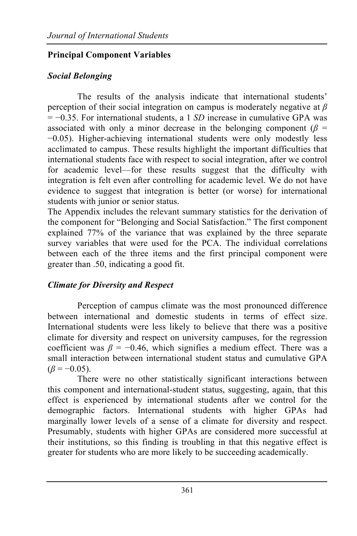# **Principal Component Variables**

# *Social Belonging*

The results of the analysis indicate that international students' perception of their social integration on campus is moderately negative at *β* = −0.35. For international students, a 1 *SD* increase in cumulative GPA was associated with only a minor decrease in the belonging component ( $\beta$  = −0.05). Higher-achieving international students were only modestly less acclimated to campus. These results highlight the important difficulties that international students face with respect to social integration, after we control for academic level—for these results suggest that the difficulty with integration is felt even after controlling for academic level. We do not have evidence to suggest that integration is better (or worse) for international students with junior or senior status.

The Appendix includes the relevant summary statistics for the derivation of the component for "Belonging and Social Satisfaction." The first component explained 77% of the variance that was explained by the three separate survey variables that were used for the PCA. The individual correlations between each of the three items and the first principal component were greater than .50, indicating a good fit.

# *Climate for Diversity and Respect*

Perception of campus climate was the most pronounced difference between international and domestic students in terms of effect size. International students were less likely to believe that there was a positive climate for diversity and respect on university campuses, for the regression coefficient was  $\beta$  = −0.46, which signifies a medium effect. There was a small interaction between international student status and cumulative GPA  $(\beta = -0.05)$ .

There were no other statistically significant interactions between this component and international-student status, suggesting, again, that this effect is experienced by international students after we control for the demographic factors. International students with higher GPAs had marginally lower levels of a sense of a climate for diversity and respect. Presumably, students with higher GPAs are considered more successful at their institutions, so this finding is troubling in that this negative effect is greater for students who are more likely to be succeeding academically.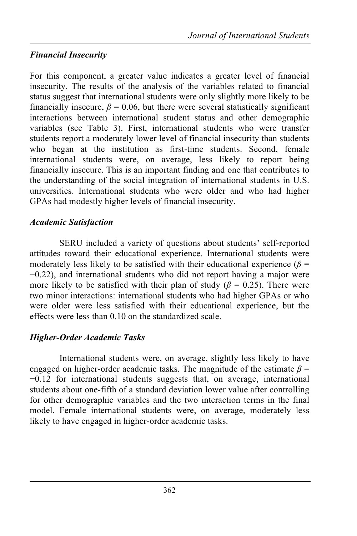# *Financial Insecurity*

For this component, a greater value indicates a greater level of financial insecurity. The results of the analysis of the variables related to financial status suggest that international students were only slightly more likely to be financially insecure,  $\beta$  = 0.06, but there were several statistically significant interactions between international student status and other demographic variables (see Table 3). First, international students who were transfer students report a moderately lower level of financial insecurity than students who began at the institution as first-time students. Second, female international students were, on average, less likely to report being financially insecure. This is an important finding and one that contributes to the understanding of the social integration of international students in U.S. universities. International students who were older and who had higher GPAs had modestly higher levels of financial insecurity.

# *Academic Satisfaction*

SERU included a variety of questions about students' self-reported attitudes toward their educational experience. International students were moderately less likely to be satisfied with their educational experience ( $\beta$  = −0.22), and international students who did not report having a major were more likely to be satisfied with their plan of study ( $\beta$  = 0.25). There were two minor interactions: international students who had higher GPAs or who were older were less satisfied with their educational experience, but the effects were less than 0.10 on the standardized scale.

# *Higher-Order Academic Tasks*

International students were, on average, slightly less likely to have engaged on higher-order academic tasks. The magnitude of the estimate  $\beta$  = −0.12 for international students suggests that, on average, international students about one-fifth of a standard deviation lower value after controlling for other demographic variables and the two interaction terms in the final model. Female international students were, on average, moderately less likely to have engaged in higher-order academic tasks.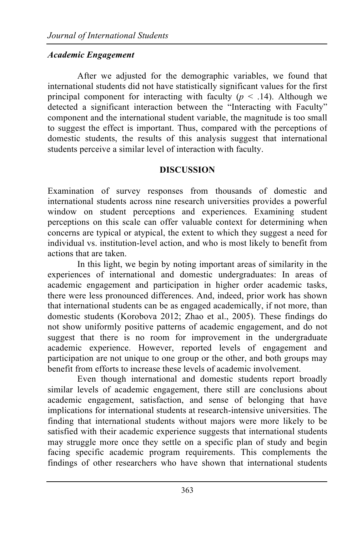# *Academic Engagement*

After we adjusted for the demographic variables, we found that international students did not have statistically significant values for the first principal component for interacting with faculty ( $p \leq .14$ ). Although we detected a significant interaction between the "Interacting with Faculty" component and the international student variable, the magnitude is too small to suggest the effect is important. Thus, compared with the perceptions of domestic students, the results of this analysis suggest that international students perceive a similar level of interaction with faculty.

### **DISCUSSION**

Examination of survey responses from thousands of domestic and international students across nine research universities provides a powerful window on student perceptions and experiences. Examining student perceptions on this scale can offer valuable context for determining when concerns are typical or atypical, the extent to which they suggest a need for individual vs. institution-level action, and who is most likely to benefit from actions that are taken.

In this light, we begin by noting important areas of similarity in the experiences of international and domestic undergraduates: In areas of academic engagement and participation in higher order academic tasks, there were less pronounced differences. And, indeed, prior work has shown that international students can be as engaged academically, if not more, than domestic students (Korobova 2012; Zhao et al., 2005). These findings do not show uniformly positive patterns of academic engagement, and do not suggest that there is no room for improvement in the undergraduate academic experience. However, reported levels of engagement and participation are not unique to one group or the other, and both groups may benefit from efforts to increase these levels of academic involvement.

Even though international and domestic students report broadly similar levels of academic engagement, there still are conclusions about academic engagement, satisfaction, and sense of belonging that have implications for international students at research-intensive universities. The finding that international students without majors were more likely to be satisfied with their academic experience suggests that international students may struggle more once they settle on a specific plan of study and begin facing specific academic program requirements. This complements the findings of other researchers who have shown that international students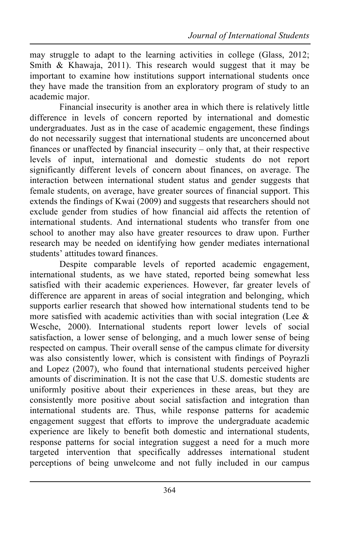may struggle to adapt to the learning activities in college (Glass, 2012; Smith & Khawaja, 2011). This research would suggest that it may be important to examine how institutions support international students once they have made the transition from an exploratory program of study to an academic major.

Financial insecurity is another area in which there is relatively little difference in levels of concern reported by international and domestic undergraduates. Just as in the case of academic engagement, these findings do not necessarily suggest that international students are unconcerned about finances or unaffected by financial insecurity – only that, at their respective levels of input, international and domestic students do not report significantly different levels of concern about finances, on average. The interaction between international student status and gender suggests that female students, on average, have greater sources of financial support. This extends the findings of Kwai (2009) and suggests that researchers should not exclude gender from studies of how financial aid affects the retention of international students. And international students who transfer from one school to another may also have greater resources to draw upon. Further research may be needed on identifying how gender mediates international students' attitudes toward finances.

Despite comparable levels of reported academic engagement, international students, as we have stated, reported being somewhat less satisfied with their academic experiences. However, far greater levels of difference are apparent in areas of social integration and belonging, which supports earlier research that showed how international students tend to be more satisfied with academic activities than with social integration (Lee  $\&$ Wesche, 2000). International students report lower levels of social satisfaction, a lower sense of belonging, and a much lower sense of being respected on campus. Their overall sense of the campus climate for diversity was also consistently lower, which is consistent with findings of Poyrazli and Lopez (2007), who found that international students perceived higher amounts of discrimination. It is not the case that U.S. domestic students are uniformly positive about their experiences in these areas, but they are consistently more positive about social satisfaction and integration than international students are. Thus, while response patterns for academic engagement suggest that efforts to improve the undergraduate academic experience are likely to benefit both domestic and international students, response patterns for social integration suggest a need for a much more targeted intervention that specifically addresses international student perceptions of being unwelcome and not fully included in our campus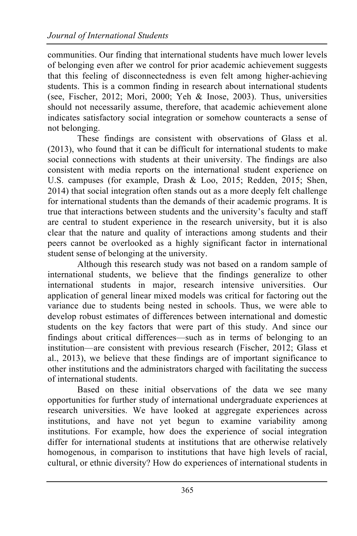communities. Our finding that international students have much lower levels of belonging even after we control for prior academic achievement suggests that this feeling of disconnectedness is even felt among higher-achieving students. This is a common finding in research about international students (see, Fischer, 2012; Mori, 2000; Yeh & Inose, 2003). Thus, universities should not necessarily assume, therefore, that academic achievement alone indicates satisfactory social integration or somehow counteracts a sense of not belonging.

These findings are consistent with observations of Glass et al. (2013), who found that it can be difficult for international students to make social connections with students at their university. The findings are also consistent with media reports on the international student experience on U.S. campuses (for example, Drash & Loo, 2015; Redden, 2015; Shen, 2014) that social integration often stands out as a more deeply felt challenge for international students than the demands of their academic programs. It is true that interactions between students and the university's faculty and staff are central to student experience in the research university, but it is also clear that the nature and quality of interactions among students and their peers cannot be overlooked as a highly significant factor in international student sense of belonging at the university.

Although this research study was not based on a random sample of international students, we believe that the findings generalize to other international students in major, research intensive universities. Our application of general linear mixed models was critical for factoring out the variance due to students being nested in schools. Thus, we were able to develop robust estimates of differences between international and domestic students on the key factors that were part of this study. And since our findings about critical differences—such as in terms of belonging to an institution—are consistent with previous research (Fischer, 2012; Glass et al., 2013), we believe that these findings are of important significance to other institutions and the administrators charged with facilitating the success of international students.

Based on these initial observations of the data we see many opportunities for further study of international undergraduate experiences at research universities. We have looked at aggregate experiences across institutions, and have not yet begun to examine variability among institutions. For example, how does the experience of social integration differ for international students at institutions that are otherwise relatively homogenous, in comparison to institutions that have high levels of racial, cultural, or ethnic diversity? How do experiences of international students in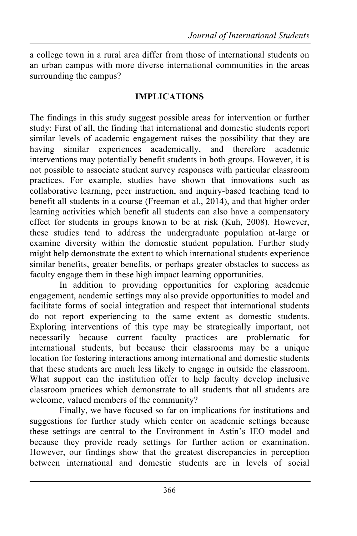a college town in a rural area differ from those of international students on an urban campus with more diverse international communities in the areas surrounding the campus?

#### **IMPLICATIONS**

The findings in this study suggest possible areas for intervention or further study: First of all, the finding that international and domestic students report similar levels of academic engagement raises the possibility that they are having similar experiences academically, and therefore academic interventions may potentially benefit students in both groups. However, it is not possible to associate student survey responses with particular classroom practices. For example, studies have shown that innovations such as collaborative learning, peer instruction, and inquiry-based teaching tend to benefit all students in a course (Freeman et al., 2014), and that higher order learning activities which benefit all students can also have a compensatory effect for students in groups known to be at risk (Kuh, 2008). However, these studies tend to address the undergraduate population at-large or examine diversity within the domestic student population. Further study might help demonstrate the extent to which international students experience similar benefits, greater benefits, or perhaps greater obstacles to success as faculty engage them in these high impact learning opportunities.

In addition to providing opportunities for exploring academic engagement, academic settings may also provide opportunities to model and facilitate forms of social integration and respect that international students do not report experiencing to the same extent as domestic students. Exploring interventions of this type may be strategically important, not necessarily because current faculty practices are problematic for international students, but because their classrooms may be a unique location for fostering interactions among international and domestic students that these students are much less likely to engage in outside the classroom. What support can the institution offer to help faculty develop inclusive classroom practices which demonstrate to all students that all students are welcome, valued members of the community?

Finally, we have focused so far on implications for institutions and suggestions for further study which center on academic settings because these settings are central to the Environment in Astin's IEO model and because they provide ready settings for further action or examination. However, our findings show that the greatest discrepancies in perception between international and domestic students are in levels of social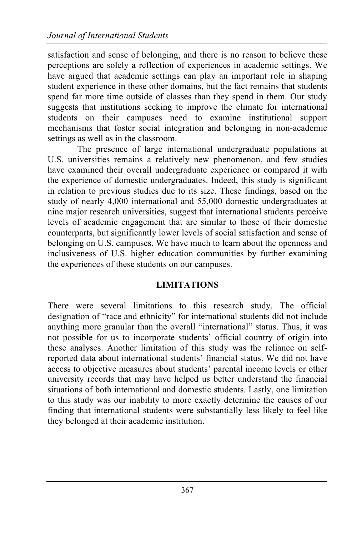satisfaction and sense of belonging, and there is no reason to believe these perceptions are solely a reflection of experiences in academic settings. We have argued that academic settings can play an important role in shaping student experience in these other domains, but the fact remains that students spend far more time outside of classes than they spend in them. Our study suggests that institutions seeking to improve the climate for international students on their campuses need to examine institutional support mechanisms that foster social integration and belonging in non-academic settings as well as in the classroom.

The presence of large international undergraduate populations at U.S. universities remains a relatively new phenomenon, and few studies have examined their overall undergraduate experience or compared it with the experience of domestic undergraduates. Indeed, this study is significant in relation to previous studies due to its size. These findings, based on the study of nearly 4,000 international and 55,000 domestic undergraduates at nine major research universities, suggest that international students perceive levels of academic engagement that are similar to those of their domestic counterparts, but significantly lower levels of social satisfaction and sense of belonging on U.S. campuses. We have much to learn about the openness and inclusiveness of U.S. higher education communities by further examining the experiences of these students on our campuses.

# **LIMITATIONS**

There were several limitations to this research study. The official designation of "race and ethnicity" for international students did not include anything more granular than the overall "international" status. Thus, it was not possible for us to incorporate students' official country of origin into these analyses. Another limitation of this study was the reliance on selfreported data about international students' financial status. We did not have access to objective measures about students' parental income levels or other university records that may have helped us better understand the financial situations of both international and domestic students. Lastly, one limitation to this study was our inability to more exactly determine the causes of our finding that international students were substantially less likely to feel like they belonged at their academic institution.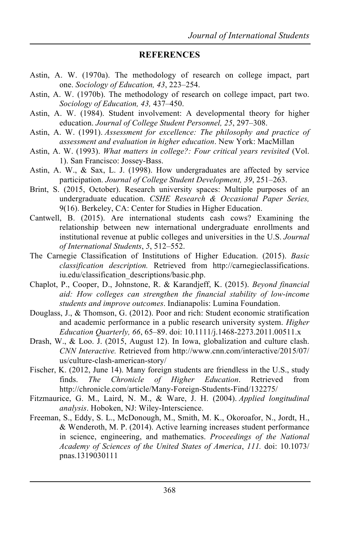#### **REFERENCES**

- Astin, A. W. (1970a). The methodology of research on college impact, part one. *Sociology of Education, 43*, 223–254.
- Astin, A. W. (1970b). The methodology of research on college impact, part two. *Sociology of Education, 43,* 437–450.
- Astin, A. W. (1984). Student involvement: A developmental theory for higher education. *Journal of College Student Personnel, 25*, 297–308.
- Astin, A. W. (1991). *Assessment for excellence: The philosophy and practice of assessment and evaluation in higher education*. New York: MacMillan
- Astin, A. W. (1993). *What matters in college?: Four critical years revisited* (Vol. 1). San Francisco: Jossey-Bass.
- Astin, A. W., & Sax, L. J. (1998). How undergraduates are affected by service participation. *Journal of College Student Development, 39*, 251–263.
- Brint, S. (2015, October). Research university spaces: Multiple purposes of an undergraduate education. *CSHE Research & Occasional Paper Series,*  9(16). Berkeley, CA: Center for Studies in Higher Education.
- Cantwell, B. (2015). Are international students cash cows? Examining the relationship between new international undergraduate enrollments and institutional revenue at public colleges and universities in the U.S. *Journal of International Students*, *5*, 512–552.
- The Carnegie Classification of Institutions of Higher Education. (2015). *Basic classification description.* Retrieved from http://carnegieclassifications. iu.edu/classification\_descriptions/basic.php.
- Chaplot, P., Cooper, D., Johnstone, R. & Karandjeff, K. (2015). *Beyond financial aid: How colleges can strengthen the financial stability of low-income students and improve outcomes*. Indianapolis: Lumina Foundation.
- Douglass, J., & Thomson, G. (2012). Poor and rich: Student economic stratification and academic performance in a public research university system. *Higher Education Quarterly, 66*, 65–89. doi: 10.1111/j.1468-2273.2011.00511.x
- Drash, W., & Loo. J. (2015, August 12). In Iowa, globalization and culture clash. *CNN Interactive.* Retrieved from http://www.cnn.com/interactive/2015/07/ us/culture-clash-american-story/
- Fischer, K. (2012, June 14). Many foreign students are friendless in the U.S., study finds. *The Chronicle of Higher Education*. Retrieved from http://chronicle.com/article/Many-Foreign-Students-Find/132275/
- Fitzmaurice, G. M., Laird, N. M., & Ware, J. H. (2004). *Applied longitudinal analysis*. Hoboken, NJ: Wiley-Interscience.
- Freeman, S., Eddy, S. L., McDonough, M., Smith, M. K., Okoroafor, N., Jordt, H., & Wenderoth, M. P. (2014). Active learning increases student performance in science, engineering, and mathematics. *Proceedings of the National Academy of Sciences of the United States of America*, *111.* doi: 10.1073/ pnas.1319030111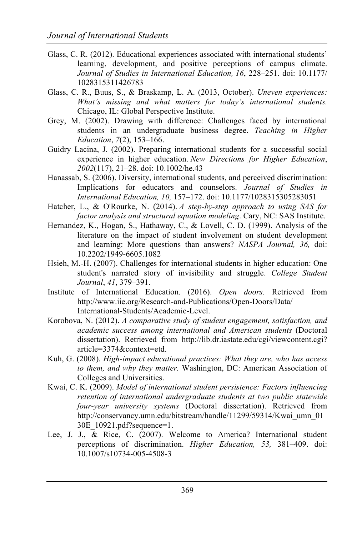- Glass, C. R. (2012). Educational experiences associated with international students' learning, development, and positive perceptions of campus climate. *Journal of Studies in International Education, 16*, 228–251. doi: 10.1177/ 1028315311426783
- Glass, C. R., Buus, S., & Braskamp, L. A. (2013, October). *Uneven experiences: What's missing and what matters for today's international students.*  Chicago, IL: Global Perspective Institute.
- Grey, M. (2002). Drawing with difference: Challenges faced by international students in an undergraduate business degree. *Teaching in Higher Education*, *7*(2), 153–166.
- Guidry Lacina, J. (2002). Preparing international students for a successful social experience in higher education. *New Directions for Higher Education*, *2002*(117), 21–28. doi: 10.1002/he.43
- Hanassab, S. (2006). Diversity, international students, and perceived discrimination: Implications for educators and counselors. *Journal of Studies in International Education, 10,* 157–172. doi: 10.1177/1028315305283051
- Hatcher, L., & O'Rourke, N. (2014). *A step-by-step approach to using SAS for factor analysis and structural equation modeling*. Cary, NC: SAS Institute.
- Hernandez, K., Hogan, S., Hathaway, C., & Lovell, C. D. (1999). Analysis of the literature on the impact of student involvement on student development and learning: More questions than answers? *NASPA Journal, 36,* doi: 10.2202/1949-6605.1082
- Hsieh, M.-H. (2007). Challenges for international students in higher education: One student's narrated story of invisibility and struggle. *College Student Journal*, *41*, 379–391.
- Institute of International Education. (2016). *Open doors.* Retrieved from http://www.iie.org/Research-and-Publications/Open-Doors/Data/ International-Students/Academic-Level.
- Korobova, N. (2012). *A comparative study of student engagement, satisfaction, and academic success among international and American students* (Doctoral dissertation). Retrieved from http://lib.dr.iastate.edu/cgi/viewcontent.cgi? article=3374&context=etd.
- Kuh, G. (2008). *High-impact educational practices: What they are, who has access to them, and why they matter.* Washington, DC: American Association of Colleges and Universities.
- Kwai, C. K. (2009). *Model of international student persistence: Factors influencing retention of international undergraduate students at two public statewide four-year university systems* (Doctoral dissertation). Retrieved from http://conservancy.umn.edu/bitstream/handle/11299/59314/Kwai\_umn\_01 30E\_10921.pdf?sequence=1.
- Lee, J. J., & Rice, C. (2007). Welcome to America? International student perceptions of discrimination. *Higher Education, 53,* 381–409. doi: 10.1007/s10734-005-4508-3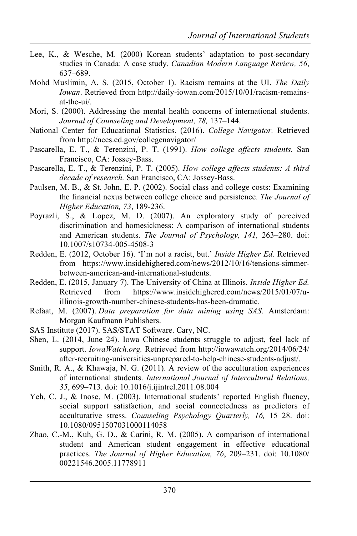- Lee, K., & Wesche, M. (2000) Korean students' adaptation to post-secondary studies in Canada: A case study. *Canadian Modern Language Review, 56*, 637–689.
- Mohd Muslimin, A. S. (2015, October 1). Racism remains at the UI. *The Daily Iowan*. Retrieved from http://daily-iowan.com/2015/10/01/racism-remainsat-the-ui/.
- Mori, S. (2000). Addressing the mental health concerns of international students. *Journal of Counseling and Development, 78,* 137–144.
- National Center for Educational Statistics. (2016). *College Navigator.* Retrieved from http://nces.ed.gov/collegenavigator/
- Pascarella, E. T., & Terenzini, P. T. (1991). *How college affects students.* San Francisco, CA: Jossey-Bass.
- Pascarella, E. T., & Terenzini, P. T. (2005). *How college affects students: A third decade of research.* San Francisco, CA: Jossey-Bass.
- Paulsen, M. B., & St. John, E. P. (2002). Social class and college costs: Examining the financial nexus between college choice and persistence. *The Journal of Higher Education, 73*, 189-236.
- Poyrazli, S., & Lopez, M. D. (2007). An exploratory study of perceived discrimination and homesickness: A comparison of international students and American students. *The Journal of Psychology, 141,* 263–280. doi: 10.1007/s10734-005-4508-3
- Redden, E. (2012, October 16). 'I'm not a racist, but.' *Inside Higher Ed.* Retrieved from https://www.insidehighered.com/news/2012/10/16/tensions-simmerbetween-american-and-international-students.
- Redden, E. (2015, January 7). The University of China at Illinois. *Inside Higher Ed.*  Retrieved from https://www.insidehighered.com/news/2015/01/07/uillinois-growth-number-chinese-students-has-been-dramatic.
- Refaat, M. (2007). *Data preparation for data mining using SAS*. Amsterdam: Morgan Kaufmann Publishers.
- SAS Institute (2017). SAS/STAT Software. Cary, NC.
- Shen, L. (2014, June 24). Iowa Chinese students struggle to adjust, feel lack of support. *IowaWatch.org.* Retrieved from http://iowawatch.org/2014/06/24/ after-recruiting-universities-unprepared-to-help-chinese-students-adjust/.
- Smith, R. A., & Khawaja, N. G. (2011). A review of the acculturation experiences of international students. *International Journal of Intercultural Relations, 35*, 699–713. doi: 10.1016/j.ijintrel.2011.08.004
- Yeh, C. J., & Inose, M. (2003). International students' reported English fluency, social support satisfaction, and social connectedness as predictors of acculturative stress. *Counseling Psychology Quarterly, 16,* 15–28. doi: 10.1080/0951507031000114058
- Zhao, C.-M., Kuh, G. D., & Carini, R. M. (2005). A comparison of international student and American student engagement in effective educational practices. *The Journal of Higher Education, 76*, 209–231. doi: 10.1080/ 00221546.2005.11778911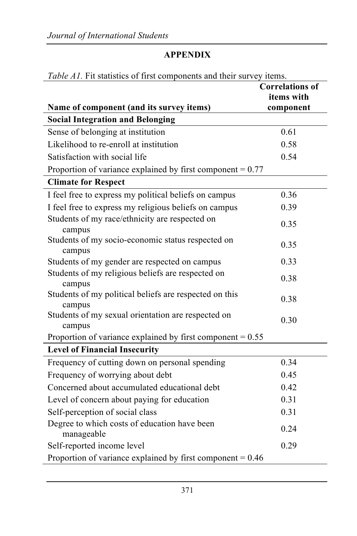### **APPENDIX**

| <i>raole 111</i> . The statistics of first components and their survey              | <i>RULLED.</i><br><b>Correlations of</b> |
|-------------------------------------------------------------------------------------|------------------------------------------|
|                                                                                     | items with                               |
| Name of component (and its survey items)<br><b>Social Integration and Belonging</b> | component                                |
| Sense of belonging at institution                                                   | 0.61                                     |
| Likelihood to re-enroll at institution                                              | 0.58                                     |
| Satisfaction with social life                                                       | 0.54                                     |
|                                                                                     |                                          |
| Proportion of variance explained by first component $= 0.77$                        |                                          |
| <b>Climate for Respect</b>                                                          |                                          |
| I feel free to express my political beliefs on campus                               | 0.36                                     |
| I feel free to express my religious beliefs on campus                               | 0.39                                     |
| Students of my race/ethnicity are respected on<br>campus                            | 0.35                                     |
| Students of my socio-economic status respected on<br>campus                         | 0.35                                     |
| Students of my gender are respected on campus                                       | 0.33                                     |
| Students of my religious beliefs are respected on<br>campus                         | 0.38                                     |
| Students of my political beliefs are respected on this<br>campus                    | 0.38                                     |
| Students of my sexual orientation are respected on<br>campus                        | 0.30                                     |
| Proportion of variance explained by first component $= 0.55$                        |                                          |
| <b>Level of Financial Insecurity</b>                                                |                                          |
| Frequency of cutting down on personal spending                                      | 0.34                                     |
| Frequency of worrying about debt                                                    | 0.45                                     |
| Concerned about accumulated educational debt                                        | 0.42                                     |
| Level of concern about paying for education                                         | 0.31                                     |
| Self-perception of social class                                                     | 0.31                                     |
| Degree to which costs of education have been<br>manageable                          | 0.24                                     |
| Self-reported income level                                                          | 0.29                                     |
| Proportion of variance explained by first component $= 0.46$                        |                                          |

#### *Table A1.* Fit statistics of first components and their survey items.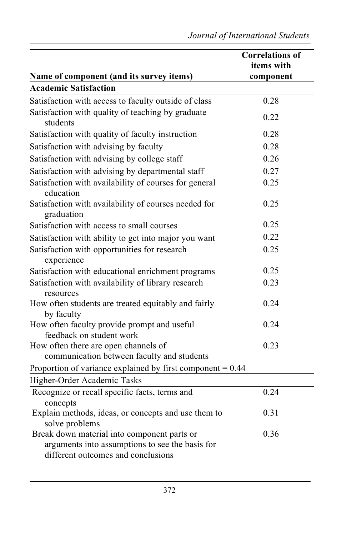|                                                                                                                                      | <b>Correlations of</b> |
|--------------------------------------------------------------------------------------------------------------------------------------|------------------------|
|                                                                                                                                      | items with             |
| Name of component (and its survey items)<br><b>Academic Satisfaction</b>                                                             | component              |
|                                                                                                                                      |                        |
| Satisfaction with access to faculty outside of class                                                                                 | 0.28                   |
| Satisfaction with quality of teaching by graduate<br>students                                                                        | 0.22                   |
| Satisfaction with quality of faculty instruction                                                                                     | 0.28                   |
| Satisfaction with advising by faculty                                                                                                | 0.28                   |
| Satisfaction with advising by college staff                                                                                          | 0.26                   |
| Satisfaction with advising by departmental staff                                                                                     | 0.27                   |
| Satisfaction with availability of courses for general<br>education                                                                   | 0.25                   |
| Satisfaction with availability of courses needed for<br>graduation                                                                   | 0.25                   |
| Satisfaction with access to small courses                                                                                            | 0.25                   |
| Satisfaction with ability to get into major you want                                                                                 | 0.22                   |
| Satisfaction with opportunities for research<br>experience                                                                           | 0.25                   |
| Satisfaction with educational enrichment programs                                                                                    | 0.25                   |
| Satisfaction with availability of library research<br>resources                                                                      | 0.23                   |
| How often students are treated equitably and fairly<br>by faculty                                                                    | 0.24                   |
| How often faculty provide prompt and useful<br>feedback on student work                                                              | 0.24                   |
| How often there are open channels of<br>communication between faculty and students                                                   | 0.23                   |
| Proportion of variance explained by first component = $0.44$                                                                         |                        |
| Higher-Order Academic Tasks                                                                                                          |                        |
| Recognize or recall specific facts, terms and<br>concepts                                                                            | 0.24                   |
| Explain methods, ideas, or concepts and use them to<br>solve problems                                                                | 0.31                   |
| Break down material into component parts or<br>arguments into assumptions to see the basis for<br>different outcomes and conclusions | 0.36                   |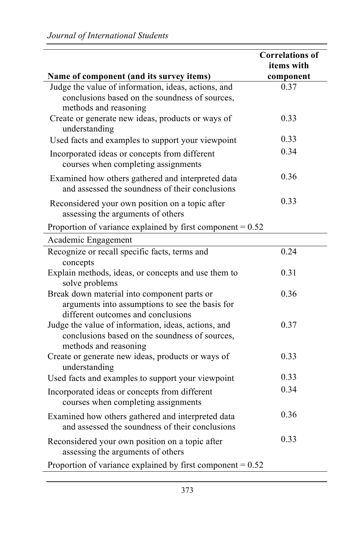| Name of component (and its survey items)                                                                                             | <b>Correlations of</b><br>items with<br>component |
|--------------------------------------------------------------------------------------------------------------------------------------|---------------------------------------------------|
| Judge the value of information, ideas, actions, and<br>conclusions based on the soundness of sources,<br>methods and reasoning       | 0.37                                              |
| Create or generate new ideas, products or ways of<br>understanding                                                                   | 0.33                                              |
| Used facts and examples to support your viewpoint                                                                                    | 0.33                                              |
| Incorporated ideas or concepts from different<br>courses when completing assignments                                                 | 0.34                                              |
| Examined how others gathered and interpreted data<br>and assessed the soundness of their conclusions                                 | 0.36                                              |
| Reconsidered your own position on a topic after<br>assessing the arguments of others                                                 | 0.33                                              |
| Proportion of variance explained by first component = $0.52$                                                                         |                                                   |
| Academic Engagement                                                                                                                  |                                                   |
| Recognize or recall specific facts, terms and<br>concepts                                                                            | 0.24                                              |
| Explain methods, ideas, or concepts and use them to<br>solve problems                                                                | 0.31                                              |
| Break down material into component parts or<br>arguments into assumptions to see the basis for<br>different outcomes and conclusions | 0.36                                              |
| Judge the value of information, ideas, actions, and<br>conclusions based on the soundness of sources,<br>methods and reasoning       | 0.37                                              |
| Create or generate new ideas, products or ways of<br>understanding                                                                   | 0.33                                              |
| Used facts and examples to support your viewpoint                                                                                    | 0.33                                              |
| Incorporated ideas or concepts from different<br>courses when completing assignments                                                 | 0.34                                              |
| Examined how others gathered and interpreted data<br>and assessed the soundness of their conclusions                                 | 0.36                                              |
| Reconsidered your own position on a topic after<br>assessing the arguments of others                                                 | 0.33                                              |
| Proportion of variance explained by first component = $0.52$                                                                         |                                                   |